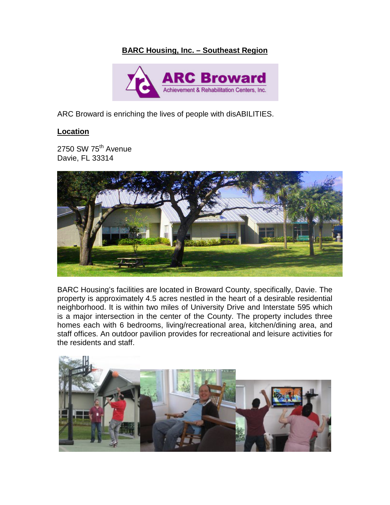# **BARC Housing, Inc. – Southeast Region**



ARC Broward is enriching the lives of people with disABILITIES.

## **Location**

2750 SW 75<sup>th</sup> Avenue Davie, FL 33314



BARC Housing's facilities are located in Broward County, specifically, Davie. The property is approximately 4.5 acres nestled in the heart of a desirable residential neighborhood. It is within two miles of University Drive and Interstate 595 which is a major intersection in the center of the County. The property includes three homes each with 6 bedrooms, living/recreational area, kitchen/dining area, and staff offices. An outdoor pavilion provides for recreational and leisure activities for the residents and staff.